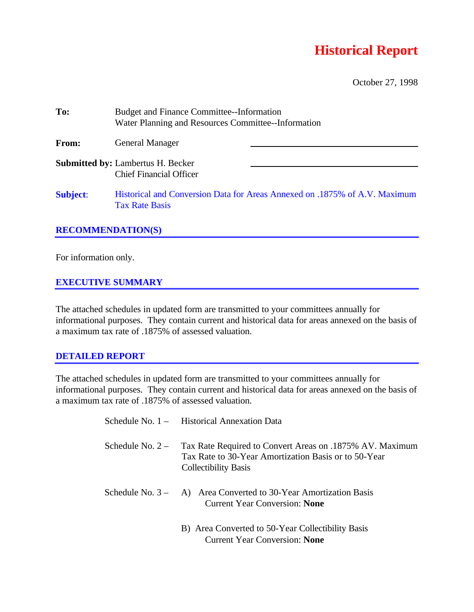## **Historical Report**

October 27, 1998

| To:             | <b>Budget and Finance Committee--Information</b><br>Water Planning and Resources Committee--Information |                                                                            |  |  |  |  |  |
|-----------------|---------------------------------------------------------------------------------------------------------|----------------------------------------------------------------------------|--|--|--|--|--|
| From:           | <b>General Manager</b>                                                                                  |                                                                            |  |  |  |  |  |
|                 | <b>Submitted by: Lambertus H. Becker</b><br><b>Chief Financial Officer</b>                              |                                                                            |  |  |  |  |  |
| <b>Subject:</b> | <b>Tax Rate Basis</b>                                                                                   | Historical and Conversion Data for Areas Annexed on .1875% of A.V. Maximum |  |  |  |  |  |

## **RECOMMENDATION(S)**

For information only.

## **EXECUTIVE SUMMARY**

The attached schedules in updated form are transmitted to your committees annually for informational purposes. They contain current and historical data for areas annexed on the basis of a maximum tax rate of .1875% of assessed valuation.

## **DETAILED REPORT**

The attached schedules in updated form are transmitted to your committees annually for informational purposes. They contain current and historical data for areas annexed on the basis of a maximum tax rate of .1875% of assessed valuation.

|                    | Schedule No. 1 - Historical Annexation Data                                                                                                     |
|--------------------|-------------------------------------------------------------------------------------------------------------------------------------------------|
| Schedule No. $2 -$ | Tax Rate Required to Convert Areas on .1875% AV. Maximum<br>Tax Rate to 30-Year Amortization Basis or to 50-Year<br><b>Collectibility Basis</b> |
|                    | Schedule No. $3 - A$ ) Area Converted to 30-Year Amortization Basis<br><b>Current Year Conversion: None</b>                                     |
|                    | B) Area Converted to 50-Year Collectibility Basis<br><b>Current Year Conversion: None</b>                                                       |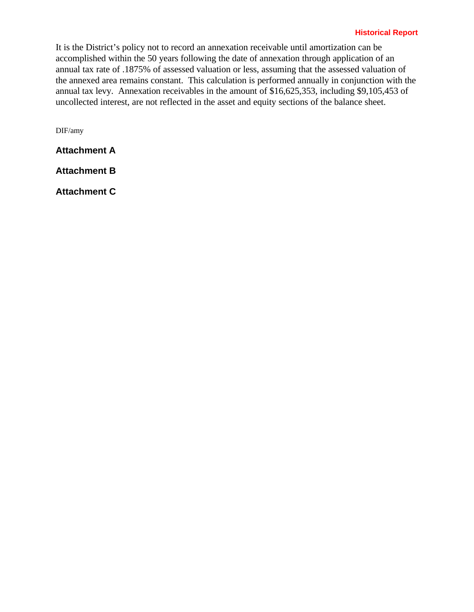## **Historical Report**

It is the District's policy not to record an annexation receivable until amortization can be accomplished within the 50 years following the date of annexation through application of an annual tax rate of .1875% of assessed valuation or less, assuming that the assessed valuation of the annexed area remains constant. This calculation is performed annually in conjunction with the annual tax levy. Annexation receivables in the amount of \$16,625,353, including \$9,105,453 of uncollected interest, are not reflected in the asset and equity sections of the balance sheet.

DIF/amy

**Attachment A**

**Attachment B**

**Attachment C**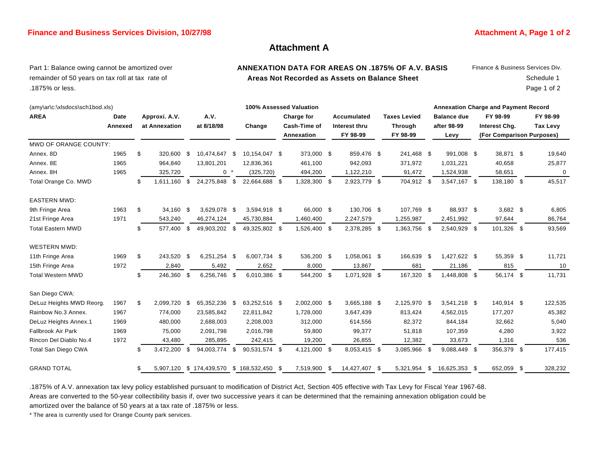### **Finance and Business Services Division, 10/27/98 Attachment A, Page 1 of 2 Attachment A, Page 1 of 2**

## **Attachment A**

## remainder of 50 years on tax roll at tax rate of **Areas Not Recorded as Assets on Balance Sheet** Schedule 1 .1875% or less. Page 1 of 2

# Part 1: Balance owing cannot be amortized over **ANNEXATION DATA FOR AREAS ON .1875% OF A.V. BASIS** Finance & Business Services Div.

| (amy\ar\c:\xlsdocs\sch1bod.xls) |         |    |               | 100% Assessed Valuation |                                            |      |               |  |              |  |               |  | <b>Annexation Charge and Payment Record</b> |    |                    |  |                           |  |                 |  |  |
|---------------------------------|---------|----|---------------|-------------------------|--------------------------------------------|------|---------------|--|--------------|--|---------------|--|---------------------------------------------|----|--------------------|--|---------------------------|--|-----------------|--|--|
| <b>AREA</b>                     | Date    |    | Approxi. A.V. |                         | A.V.                                       |      |               |  | Charge for   |  | Accumulated   |  | <b>Taxes Levied</b>                         |    | <b>Balance due</b> |  | FY 98-99                  |  | FY 98-99        |  |  |
|                                 | Annexed |    | at Annexation |                         | at 8/18/98                                 |      | Change        |  | Cash-Time of |  | Interest thru |  | <b>Through</b>                              |    | after 98-99        |  | Interest Chg.             |  | <b>Tax Levy</b> |  |  |
|                                 |         |    |               |                         |                                            |      |               |  | Annexation   |  | FY 98-99      |  | FY 98-99                                    |    | Levy               |  | (For Comparison Purposes) |  |                 |  |  |
| MWD OF ORANGE COUNTY:           |         |    |               |                         |                                            |      |               |  |              |  |               |  |                                             |    |                    |  |                           |  |                 |  |  |
| Annex. 8D                       | 1965    | \$ | 320,600       | \$                      | 10,474,647 \$                              |      | 10,154,047 \$ |  | 373,000 \$   |  | 859,476 \$    |  | 241,468 \$                                  |    | 991,008 \$         |  | 38,871 \$                 |  | 19,640          |  |  |
| Annex. 8E                       | 1965    |    | 964,840       |                         | 13,801,201                                 |      | 12,836,361    |  | 461,100      |  | 942,093       |  | 371,972                                     |    | 1,031,221          |  | 40,658                    |  | 25,877          |  |  |
| Annex, 8H                       | 1965    |    | 325,720       |                         | $0 *$                                      |      | (325, 720)    |  | 494,200      |  | 1,122,210     |  | 91,472                                      |    | 1,524,938          |  | 58,651                    |  | 0               |  |  |
| Total Orange Co. MWD            |         | \$ | 1,611,160     | \$                      | 24,275,848                                 | - \$ | 22,664,688 \$ |  | 1,328,300 \$ |  | 2,923,779 \$  |  | 704,912 \$                                  |    | 3,547,167 \$       |  | 138,180 \$                |  | 45,517          |  |  |
| <b>EASTERN MWD:</b>             |         |    |               |                         |                                            |      |               |  |              |  |               |  |                                             |    |                    |  |                           |  |                 |  |  |
| 9th Fringe Area                 | 1963    | \$ | 34,160        | -\$                     | 3,629,078 \$                               |      | 3,594,918 \$  |  | 66,000 \$    |  | 130,706 \$    |  | 107,769 \$                                  |    | 88,937 \$          |  | $3,682$ \$                |  | 6,805           |  |  |
| 21st Fringe Area                | 1971    |    | 543,240       |                         | 46,274,124                                 |      | 45,730,884    |  | 1,460,400    |  | 2,247,579     |  | 1,255,987                                   |    | 2,451,992          |  | 97,644                    |  | 86,764          |  |  |
| <b>Total Eastern MWD</b>        |         | \$ | 577,400       | \$                      | 49,903,202 \$                              |      | 49,325,802 \$ |  | 1,526,400 \$ |  | 2,378,285 \$  |  | 1,363,756 \$                                |    | 2,540,929 \$       |  | 101,326 \$                |  | 93,569          |  |  |
| <b>WESTERN MWD:</b>             |         |    |               |                         |                                            |      |               |  |              |  |               |  |                                             |    |                    |  |                           |  |                 |  |  |
| 11th Fringe Area                | 1969    | \$ | 243,520       | -\$                     | 6,251,254                                  | - \$ | 6,007,734 \$  |  | 536,200 \$   |  | 1,058,061 \$  |  | 166,639                                     | \$ | 1,427,622 \$       |  | 55,359 \$                 |  | 11,721          |  |  |
| 15th Fringe Area                | 1972    |    | 2,840         |                         | 5,492                                      |      | 2,652         |  | 8,000        |  | 13,867        |  | 681                                         |    | 21,186             |  | 815                       |  | 10              |  |  |
| <b>Total Western MWD</b>        |         | \$ | 246,360       | \$                      | 6,256,746 \$                               |      | 6,010,386 \$  |  | 544,200 \$   |  | 1,071,928 \$  |  | 167,320 \$                                  |    | 1,448,808 \$       |  | 56,174 \$                 |  | 11,731          |  |  |
| San Diego CWA:                  |         |    |               |                         |                                            |      |               |  |              |  |               |  |                                             |    |                    |  |                           |  |                 |  |  |
| DeLuz Heights MWD Reorg.        | 1967    | \$ | 2,099,720     | -\$                     | 65,352,236 \$                              |      | 63,252,516 \$ |  | 2,002,000 \$ |  | 3,665,188 \$  |  | 2,125,970 \$                                |    | 3,541,218 \$       |  | 140,914 \$                |  | 122,535         |  |  |
| Rainbow No.3 Annex.             | 1967    |    | 774,000       |                         | 23,585,842                                 |      | 22,811,842    |  | 1,728,000    |  | 3,647,439     |  | 813,424                                     |    | 4,562,015          |  | 177,207                   |  | 45,382          |  |  |
| DeLuz Heights Annex.1           | 1969    |    | 480,000       |                         | 2,688,003                                  |      | 2,208,003     |  | 312,000      |  | 614,556       |  | 82,372                                      |    | 844,184            |  | 32,662                    |  | 5,040           |  |  |
| <b>Fallbrook Air Park</b>       | 1969    |    | 75,000        |                         | 2,091,798                                  |      | 2,016,798     |  | 59,800       |  | 99,377        |  | 51,818                                      |    | 107,359            |  | 4,280                     |  | 3,922           |  |  |
| Rincon Del Diablo No.4          | 1972    |    | 43,480        |                         | 285,895                                    |      | 242,415       |  | 19,200       |  | 26,855        |  | 12,382                                      |    | 33,673             |  | 1,316                     |  | 536             |  |  |
| Total San Diego CWA             |         | S  | 3,472,200     | \$                      | 94,003,774                                 | \$   | 90,531,574 \$ |  | 4,121,000 \$ |  | 8,053,415 \$  |  | 3,085,966 \$                                |    | 9,088,449 \$       |  | 356,379 \$                |  | 177,415         |  |  |
| <b>GRAND TOTAL</b>              |         | \$ |               |                         | 5,907,120 \$ 174,439,570 \$ 168,532,450 \$ |      |               |  | 7,519,900 \$ |  | 14,427,407 \$ |  | 5,321,954                                   | \$ | 16,625,353 \$      |  | 652,059 \$                |  | 328,232         |  |  |

.1875% of A.V. annexation tax levy policy established pursuant to modification of District Act, Section 405 effective with Tax Levy for Fiscal Year 1967-68. Areas are converted to the 50-year collectibility basis if, over two successive years it can be determined that the remaining annexation obligation could be amortized over the balance of 50 years at a tax rate of .1875% or less.

\* The area is currently used for Orange County park services.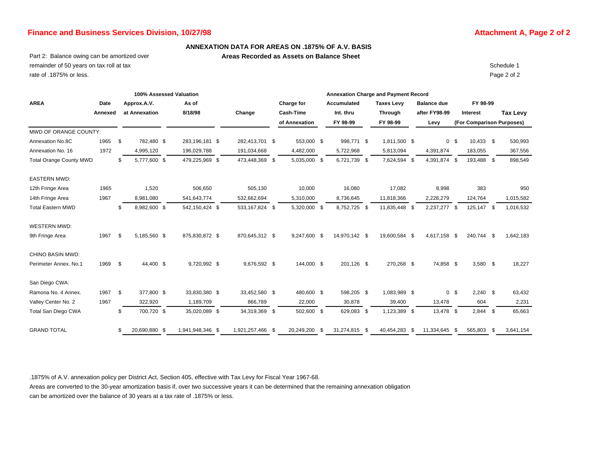## **Finance and Business Services Division, 10/27/98 Attachment A, Page 2 of 2 Attachment A, Page 2 of 2**

#### **ANNEXATION DATA FOR AREAS ON .1875% OF A.V. BASIS**

Part 2: Balance owing can be amortized over **Areas Recorded as Assets on Balance Sheet** 

remainder of 50 years on tax roll at tax Schedule 1 rate of .1875% or less. Page 2 of 2

| 100% Assessed Valuation        |         |                      |           |                  |  |                  | <b>Annexation Charge and Payment Record</b> |                  |      |                    |  |                   |     |                    |                |                           |      |                 |
|--------------------------------|---------|----------------------|-----------|------------------|--|------------------|---------------------------------------------|------------------|------|--------------------|--|-------------------|-----|--------------------|----------------|---------------------------|------|-----------------|
| <b>AREA</b>                    | Date    | Approx.A.V.          |           | As of            |  |                  |                                             | Charge for       |      | <b>Accumulated</b> |  | <b>Taxes Levy</b> |     | <b>Balance due</b> |                | FY 98-99                  |      |                 |
|                                | Annexed | at Annexation        |           | 8/18/98          |  | Change           |                                             | <b>Cash-Time</b> |      | Int. thru          |  | <b>Through</b>    |     | after FY98-99      |                | Interest                  |      | <b>Tax Levy</b> |
|                                |         |                      |           |                  |  |                  |                                             | of Annexation    |      | FY 98-99           |  | FY 98-99          |     | Levy               |                | (For Comparison Purposes) |      |                 |
| MWD OF ORANGE COUNTY:          |         |                      |           |                  |  |                  |                                             |                  |      |                    |  |                   |     |                    |                |                           |      |                 |
| Annexation No.8C               | 1965    | \$<br>782,480 \$     |           | 283,196,181 \$   |  | 282,413,701 \$   |                                             | 553,000 \$       |      | 998,771 \$         |  | 1,811,500 \$      |     |                    | 0 <sup>5</sup> | $10,433$ \$               |      | 530,993         |
| Annexation No. 16              | 1972    | 4,995,120            |           | 196,029,788      |  | 191,034,668      |                                             | 4,482,000        |      | 5,722,968          |  | 5,813,094         |     | 4,391,874          |                | 183,055                   |      | 367,556         |
| <b>Total Orange County MWD</b> |         | 5,777,600 \$<br>\$   |           | 479,225,969 \$   |  | 473,448,369 \$   |                                             | 5,035,000 \$     |      | 6,721,739 \$       |  | 7,624,594 \$      |     | 4,391,874 \$       |                | 193,488 \$                |      | 898,549         |
| <b>EASTERN MWD:</b>            |         |                      |           |                  |  |                  |                                             |                  |      |                    |  |                   |     |                    |                |                           |      |                 |
| 12th Fringe Area               | 1965    | 1,520                |           | 506,650          |  | 505,130          |                                             | 10,000           |      | 16,080             |  | 17,082            |     | 8,998              |                | 383                       |      | 950             |
| 14th Fringe Area               | 1967    | 8,981,080            |           | 541,643,774      |  | 532,662,694      |                                             | 5,310,000        |      | 8,736,645          |  | 11.818.366        |     | 2,228,279          |                | 124,764                   |      | 1,015,582       |
| <b>Total Eastern MWD</b>       |         | 8,982,600 \$<br>\$   |           | 542,150,424 \$   |  | 533, 167, 824 \$ |                                             | 5,320,000 \$     |      | 8,752,725 \$       |  | 11,835,448 \$     |     | 2,237,277 \$       |                | 125,147 \$                |      | 1,016,532       |
| <b>WESTERN MWD:</b>            |         |                      |           |                  |  |                  |                                             |                  |      |                    |  |                   |     |                    |                |                           |      |                 |
| 9th Fringe Area                | 1967    | - \$<br>5,185,560 \$ |           | 875,830,872 \$   |  | 870,645,312 \$   |                                             | 9,247,600 \$     |      | 14.970.142 \$      |  | 19.600.584 \$     |     | 4,617,158 \$       |                | 240.744 \$                |      | 1,642,183       |
| <b>CHINO BASIN MWD:</b>        |         |                      |           |                  |  |                  |                                             |                  |      |                    |  |                   |     |                    |                |                           |      |                 |
| Perimeter Annex. No.1          | 1969    | - \$                 | 44,400 \$ | 9,720,992 \$     |  | 9,676,592 \$     |                                             | 144,000 \$       |      | 201,126 \$         |  | 270,268 \$        |     | 74,858 \$          |                | $3,580$ \$                |      | 18,227          |
| San Diego CWA:                 |         |                      |           |                  |  |                  |                                             |                  |      |                    |  |                   |     |                    |                |                           |      |                 |
| Ramona No. 4 Annex.            | 1967    | \$<br>377,800 \$     |           | 33,830,380 \$    |  | 33,452,580 \$    |                                             | 480,600 \$       |      | 598,205 \$         |  | 1,083,989 \$      |     |                    | 0 <sup>5</sup> | $2,240$ \$                |      | 63,432          |
| Valley Center No. 2            | 1967    | 322,920              |           | 1,189,709        |  | 866,789          |                                             | 22,000           |      | 30,878             |  | 39,400            |     | 13,478             |                | 604                       |      | 2,231           |
| Total San Diego CWA            |         | 700,720 \$<br>\$     |           | 35,020,089 \$    |  | 34,319,369 \$    |                                             | 502,600 \$       |      | 629,083 \$         |  | 1,123,389 \$      |     | 13,478 \$          |                | $2,844$ \$                |      | 65,663          |
| <b>GRAND TOTAL</b>             |         | 20,690,880 \$<br>\$  |           | 1,941,948,346 \$ |  | 1,921,257,466 \$ |                                             | 20,249,200       | - \$ | 31,274,815 \$      |  | 40,454,283        | -\$ | 11,334,645 \$      |                | 565,803                   | - \$ | 3,641,154       |

.1875% of A.V. annexation policy per District Act, Section 405, effective with Tax Levy for Fiscal Year 1967-68.

Areas are converted to the 30-year amortization basis if, over two successive years it can be determined that the remaining annexation obligation can be amortized over the balance of 30 years at a tax rate of .1875% or less.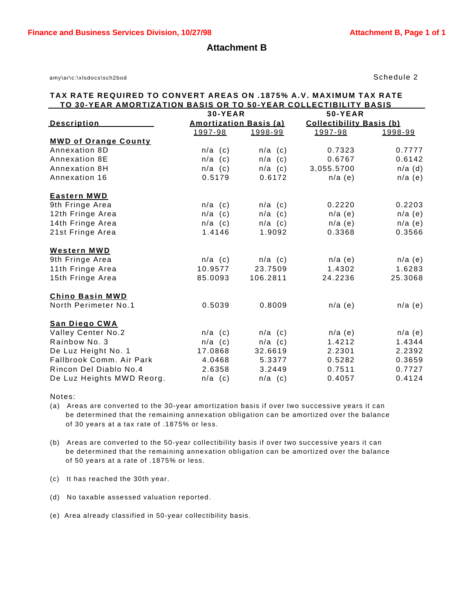**Attachment B**

amy\ar\c:\xlsdocs\sch2bod Schedule 2

## **TAX RATE REQUIRED TO CONVERT AREAS ON .1875% A.V. MAXIMUM TAX RATE TO 30-YEAR AMORTIZATION BASIS OR TO 50-YEAR COLLECTIBILITY BASIS**

|                             | <b>30-YEAR</b>                |           | <b>50-YEAR</b>                  |           |  |  |  |  |
|-----------------------------|-------------------------------|-----------|---------------------------------|-----------|--|--|--|--|
| <b>Description</b>          | <b>Amortization Basis (a)</b> |           | <b>Collectibility Basis (b)</b> |           |  |  |  |  |
|                             | 1997-98                       | 1998-99   | 1997-98                         | 1998-99   |  |  |  |  |
| <b>MWD of Orange County</b> |                               |           |                                 |           |  |  |  |  |
| Annexation 8D               | $n/a$ (c)                     | $n/a$ (c) | 0.7323                          | 0.7777    |  |  |  |  |
| Annexation 8E               | $n/a$ (c)                     | $n/a$ (c) | 0.6767                          | 0.6142    |  |  |  |  |
| Annexation 8H               | $n/a$ (c)                     | $n/a$ (c) | 3,055.5700                      | $n/a$ (d) |  |  |  |  |
| Annexation 16               | 0.5179                        | 0.6172    | $n/a$ (e)                       | $n/a$ (e) |  |  |  |  |
| <b>Eastern MWD</b>          |                               |           |                                 |           |  |  |  |  |
| 9th Fringe Area             | $n/a$ (c)                     | $n/a$ (c) | 0.2220                          | 0.2203    |  |  |  |  |
| 12th Fringe Area            | $n/a$ (c)                     | $n/a$ (c) | $n/a$ (e)                       | $n/a$ (e) |  |  |  |  |
| 14th Fringe Area            | $n/a$ (c)                     | $n/a$ (c) | $n/a$ (e)                       | $n/a$ (e) |  |  |  |  |
| 21st Fringe Area            | 1.4146                        | 1.9092    | 0.3368                          | 0.3566    |  |  |  |  |
| <b>Western MWD</b>          |                               |           |                                 |           |  |  |  |  |
| 9th Fringe Area             | $n/a$ (c)                     | $n/a$ (c) | $n/a$ (e)                       | $n/a$ (e) |  |  |  |  |
| 11th Fringe Area            | 10.9577                       | 23.7509   | 1.4302                          | 1.6283    |  |  |  |  |
| 15th Fringe Area            | 85.0093                       | 106.2811  | 24.2236                         | 25.3068   |  |  |  |  |
| <b>Chino Basin MWD</b>      |                               |           |                                 |           |  |  |  |  |
| North Perimeter No.1        | 0.5039                        | 0.8009    | $n/a$ (e)                       | $n/a$ (e) |  |  |  |  |
| <b>San Diego CWA</b>        |                               |           |                                 |           |  |  |  |  |
| Valley Center No.2          | $n/a$ (c)                     | $n/a$ (c) | $n/a$ (e)                       | $n/a$ (e) |  |  |  |  |
| Rainbow No. 3               | $n/a$ (c)                     | $n/a$ (c) | 1.4212                          | 1.4344    |  |  |  |  |
| De Luz Height No. 1         | 17.0868                       | 32.6619   | 2.2301                          | 2.2392    |  |  |  |  |
| Fallbrook Comm. Air Park    | 4.0468                        | 5.3377    | 0.5282                          | 0.3659    |  |  |  |  |
| Rincon Del Diablo No.4      | 2.6358                        | 3.2449    | 0.7511                          | 0.7727    |  |  |  |  |
| De Luz Heights MWD Reorg.   | $n/a$ (c)                     | $n/a$ (c) | 0.4057                          | 0.4124    |  |  |  |  |

Notes:

(a) Areas are converted to the 30-year amortization basis if over two successive years it can be determined that the remaining annexation obligation can be amortized over the balance of 30 years at a tax rate of .1875% or less.

(b) Areas are converted to the 50-year collectibility basis if over two successive years it can be determined that the remaining annexation obligation can be amortized over the balance of 50 years at a rate of .1875% or less.

(c) It has reached the 30th year.

(d) No taxable assessed valuation reported.

(e) Area already classified in 50-year collectibility basis.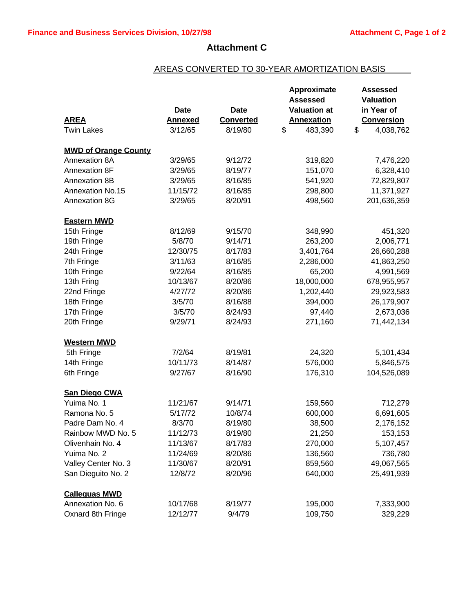## **Attachment C**

## AREAS CONVERTED TO 30-YEAR AMORTIZATION BASIS

|                             |                |                  | Approximate         | <b>Assessed</b>   |
|-----------------------------|----------------|------------------|---------------------|-------------------|
|                             |                |                  | <b>Assessed</b>     | <b>Valuation</b>  |
|                             | <b>Date</b>    | <b>Date</b>      | <b>Valuation at</b> | in Year of        |
| <b>AREA</b>                 | <b>Annexed</b> | <b>Converted</b> | <b>Annexation</b>   | <b>Conversion</b> |
| <b>Twin Lakes</b>           | 3/12/65        | 8/19/80          | \$<br>483,390       | \$<br>4,038,762   |
| <b>MWD of Orange County</b> |                |                  |                     |                   |
| Annexation 8A               | 3/29/65        | 9/12/72          | 319,820             | 7,476,220         |
| Annexation 8F               | 3/29/65        | 8/19/77          | 151,070             | 6,328,410         |
| Annexation 8B               | 3/29/65        | 8/16/85          | 541,920             | 72,829,807        |
| Annexation No.15            | 11/15/72       | 8/16/85          | 298,800             | 11,371,927        |
| Annexation 8G               | 3/29/65        | 8/20/91          | 498,560             | 201,636,359       |
| <b>Eastern MWD</b>          |                |                  |                     |                   |
| 15th Fringe                 | 8/12/69        | 9/15/70          | 348,990             | 451,320           |
| 19th Fringe                 | 5/8/70         | 9/14/71          | 263,200             | 2,006,771         |
| 24th Fringe                 | 12/30/75       | 8/17/83          | 3,401,764           | 26,660,288        |
| 7th Fringe                  | 3/11/63        | 8/16/85          | 2,286,000           | 41,863,250        |
| 10th Fringe                 | 9/22/64        | 8/16/85          | 65,200              | 4,991,569         |
| 13th Fring                  | 10/13/67       | 8/20/86          | 18,000,000          | 678,955,957       |
| 22nd Fringe                 | 4/27/72        | 8/20/86          | 1,202,440           | 29,923,583        |
| 18th Fringe                 | 3/5/70         | 8/16/88          | 394,000             | 26,179,907        |
| 17th Fringe                 | 3/5/70         | 8/24/93          | 97,440              | 2,673,036         |
| 20th Fringe                 | 9/29/71        | 8/24/93          | 271,160             | 71,442,134        |
| <b>Western MWD</b>          |                |                  |                     |                   |
| 5th Fringe                  | 7/2/64         | 8/19/81          | 24,320              | 5,101,434         |
| 14th Fringe                 | 10/11/73       | 8/14/87          | 576,000             | 5,846,575         |
| 6th Fringe                  | 9/27/67        | 8/16/90          | 176,310             | 104,526,089       |
| San Diego CWA               |                |                  |                     |                   |
| Yuima No. 1                 | 11/21/67       | 9/14/71          | 159,560             | 712,279           |
| Ramona No. 5                | 5/17/72        | 10/8/74          | 600,000             | 6,691,605         |
| Padre Dam No. 4             | 8/3/70         | 8/19/80          | 38,500              | 2,176,152         |
| Rainbow MWD No. 5           | 11/12/73       | 8/19/80          | 21,250              | 153,153           |
| Olivenhain No. 4            | 11/13/67       | 8/17/83          | 270,000             | 5,107,457         |
| Yuima No. 2                 | 11/24/69       | 8/20/86          | 136,560             | 736,780           |
| Valley Center No. 3         | 11/30/67       | 8/20/91          | 859,560             | 49,067,565        |
| San Dieguito No. 2          | 12/8/72        | 8/20/96          | 640,000             | 25,491,939        |
| <b>Calleguas MWD</b>        |                |                  |                     |                   |
| Annexation No. 6            | 10/17/68       | 8/19/77          | 195,000             | 7,333,900         |
| Oxnard 8th Fringe           | 12/12/77       | 9/4/79           | 109,750             | 329,229           |